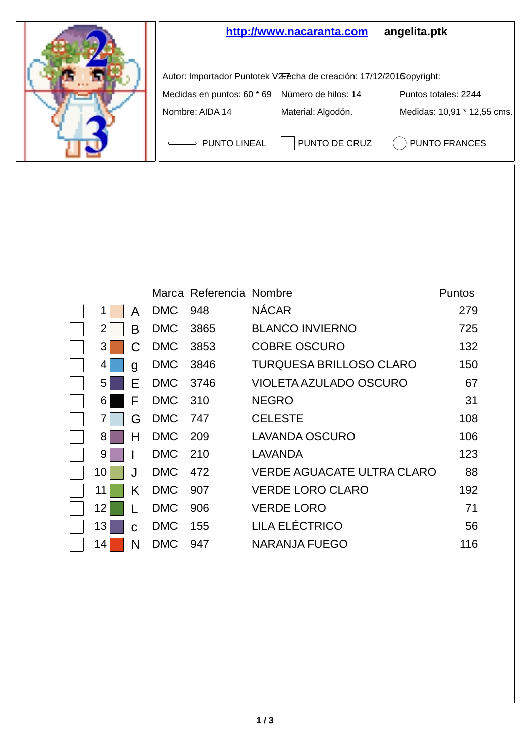

|    |    |            | Marca Referencia Nombre |                                   | Puntos |
|----|----|------------|-------------------------|-----------------------------------|--------|
| 1  | A  | DMC        | 948                     | <b>NACAR</b>                      | 279    |
| 2  | в  | <b>DMC</b> | 3865                    | <b>BLANCO INVIERNO</b>            | 725    |
| 3  |    | <b>DMC</b> | 3853                    | <b>COBRE OSCURO</b>               | 132    |
| 4  | g  | <b>DMC</b> | 3846                    | TURQUESA BRILLOSO CLARO           | 150    |
| 5  | F  | <b>DMC</b> | 3746                    | VIOLETA AZULADO OSCURO            | 67     |
| 6  | F  | DMC 310    |                         | <b>NEGRO</b>                      | 31     |
|    | G  | <b>DMC</b> | 747                     | <b>CELESTE</b>                    | 108    |
| 8  | н  | <b>DMC</b> | - 209                   | LAVANDA OSCURO                    | 106    |
| 9  |    | <b>DMC</b> | - 210                   | LAVANDA                           | 123    |
| 10 | ا. | <b>DMC</b> | 472                     | <b>VERDE AGUACATE ULTRA CLARO</b> | 88     |
| 11 | Κ  | <b>DMC</b> | 907                     | <b>VERDE LORO CLARO</b>           | 192    |
| 12 |    | <b>DMC</b> | 906                     | <b>VERDE LORO</b>                 | 71     |
| 13 | C  | <b>DMC</b> | 155                     | LILA ELÉCTRICO                    | 56     |
| 14 | N  | <b>DMC</b> | 947                     | NARANJA FUEGO                     | 116    |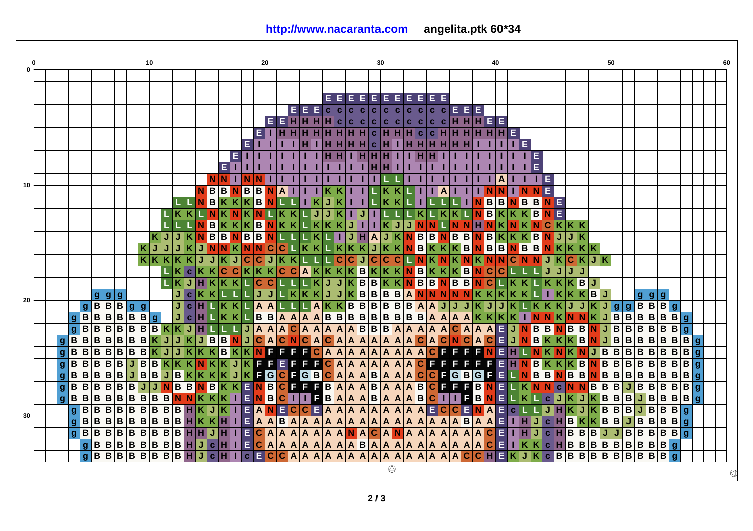|    | 10 |                  |                         |                              |                         |         |                         |                  |              |                         |                         |                         | 20          |                         |                         |                         |                         |                |                         |                           |                           |                           | 30                            |                         |              |                               |                           |                               |                         |                |                               |                         |                               |                           |                           | 40                      |                               |                |             | 50                           |                  |                         |                         |                         |                         |                                                                                                     |   |                                              |              |                         |             |                                | 60               |                |   |
|----|----|------------------|-------------------------|------------------------------|-------------------------|---------|-------------------------|------------------|--------------|-------------------------|-------------------------|-------------------------|-------------|-------------------------|-------------------------|-------------------------|-------------------------|----------------|-------------------------|---------------------------|---------------------------|---------------------------|-------------------------------|-------------------------|--------------|-------------------------------|---------------------------|-------------------------------|-------------------------|----------------|-------------------------------|-------------------------|-------------------------------|---------------------------|---------------------------|-------------------------|-------------------------------|----------------|-------------|------------------------------|------------------|-------------------------|-------------------------|-------------------------|-------------------------|-----------------------------------------------------------------------------------------------------|---|----------------------------------------------|--------------|-------------------------|-------------|--------------------------------|------------------|----------------|---|
| 0  |    |                  |                         |                              |                         |         |                         |                  |              |                         |                         |                         |             |                         |                         |                         |                         |                |                         |                           |                           |                           |                               |                         |              |                               |                           |                               |                         |                |                               |                         |                               |                           |                           |                         |                               |                |             |                              |                  |                         |                         |                         |                         |                                                                                                     |   |                                              |              |                         |             |                                |                  |                |   |
|    |    |                  |                         |                              |                         |         |                         |                  |              |                         |                         |                         |             |                         |                         |                         |                         |                |                         |                           |                           |                           |                               |                         |              |                               |                           |                               |                         |                |                               |                         |                               |                           |                           |                         |                               |                |             |                              |                  |                         |                         |                         |                         |                                                                                                     |   |                                              |              |                         |             |                                |                  |                |   |
|    |    |                  |                         |                              |                         |         |                         |                  |              |                         |                         |                         |             |                         |                         |                         |                         |                |                         |                           |                           |                           |                               |                         | EE           | Е                             | Е                         | Е                             | E.                      | E              | Е                             | Е                       | E.                            | Е                         |                           |                         |                               |                |             |                              |                  |                         |                         |                         |                         |                                                                                                     |   |                                              |              |                         |             |                                |                  |                |   |
|    |    |                  |                         |                              |                         |         |                         |                  |              |                         |                         |                         |             |                         |                         |                         |                         |                |                         |                           | E E                       |                           | Е.                            |                         | c c          | $\mathbf{c}$                  |                           | c c                           | $\mathbf{C}$            | $ \mathbf{c} $ | $\mathbf{C}$                  | $\mathbf{c}$            | $\mathbf{C}$                  | $\mathbf{C}$              | E.                        | E                       | E                             |                |             |                              |                  |                         |                         |                         |                         |                                                                                                     |   |                                              |              |                         |             |                                |                  |                |   |
|    |    |                  |                         |                              |                         |         |                         |                  |              |                         |                         |                         |             |                         |                         |                         |                         |                | $E$ $E$ $H$             |                           |                           | н                         | н                             | Iн                      | l c l        | $\mathbf{c}$                  | c                         | $\mathbf{c}$                  | $\mathbf{C}^{\top}$     | c              | $\mathbf{c}$                  | $\mathbf{c}$            | $\mathbf{C}$                  | $\mathbf{C}$              |                           |                         |                               | EE             |             |                              |                  |                         |                         |                         |                         |                                                                                                     |   |                                              |              |                         |             |                                |                  |                |   |
|    |    |                  |                         |                              |                         |         |                         |                  |              |                         |                         |                         |             |                         |                         |                         |                         | EL             |                         |                           | н                         |                           |                               |                         |              |                               |                           | $\bullet$                     |                         |                | н                             | $\mathbf{C}$            | $\mathbf{c}$                  |                           |                           |                         |                               |                | н           | E                            |                  |                         |                         |                         |                         |                                                                                                     |   |                                              |              |                         |             |                                |                  |                |   |
|    |    |                  |                         |                              |                         |         |                         |                  |              |                         |                         |                         |             |                         |                         |                         | E                       |                |                         |                           |                           |                           |                               |                         |              |                               |                           | c.                            |                         |                |                               |                         |                               |                           |                           |                         |                               |                |             | Е                            |                  |                         |                         |                         |                         |                                                                                                     |   |                                              |              |                         |             |                                |                  |                |   |
|    |    |                  |                         |                              |                         |         |                         |                  |              |                         |                         |                         |             |                         |                         | Е.                      |                         |                |                         |                           |                           |                           |                               |                         |              |                               |                           |                               |                         |                |                               |                         |                               |                           |                           |                         |                               |                |             | т                            | l El             |                         |                         |                         |                         |                                                                                                     |   |                                              |              |                         |             |                                |                  |                |   |
|    |    |                  |                         |                              |                         |         |                         |                  |              |                         |                         |                         |             |                         | EI                      |                         |                         |                |                         |                           |                           |                           |                               |                         |              |                               |                           |                               |                         |                |                               |                         |                               |                           |                           |                         |                               |                |             |                              | E                |                         |                         |                         |                         |                                                                                                     |   |                                              |              |                         |             |                                |                  |                |   |
|    |    |                  |                         |                              |                         |         |                         |                  |              |                         |                         |                         |             | <b>NN</b>               |                         | $\hat{\mathbf{P}}$      | N                       |                | т                       |                           |                           |                           |                               |                         |              |                               |                           |                               |                         |                |                               |                         |                               |                           |                           |                         |                               |                | A           |                              |                  | Е                       |                         |                         |                         |                                                                                                     |   |                                              |              |                         |             |                                |                  |                |   |
| 10 |    |                  |                         |                              |                         |         |                         |                  |              |                         |                         |                         |             | B                       | B                       | N                       | B                       | B              | N                       | A                         |                           |                           |                               |                         |              |                               |                           |                               |                         |                |                               |                         |                               | A                         |                           |                         |                               |                |             |                              | N                | E                       |                         |                         |                         |                                                                                                     |   |                                              |              |                         |             |                                |                  |                |   |
|    |    |                  |                         |                              |                         |         |                         |                  |              |                         |                         | L N                     |             | B                       |                         | $\overline{\mathbf{K}}$ | $K$ B                   |                | N                       |                           |                           |                           | K                             | Ĵ                       |              |                               |                           |                               | ĸ                       |                |                               |                         |                               |                           |                           | T.                      | $N$ $B$                       |                | в           | B                            | $\vert$ B        | $\overline{\mathsf{N}}$ | l E                     |                         |                         |                                                                                                     |   |                                              |              |                         |             |                                |                  |                |   |
|    |    |                  |                         |                              |                         |         |                         |                  |              |                         | $\overline{\mathbf{K}}$ | K                       |             | Ñ                       |                         |                         |                         |                |                         |                           | ĸ                         |                           | J                             | J                       |              |                               | J                         |                               |                         |                |                               | ĸ                       |                               | K                         |                           |                         | <b>NB</b>                     |                | $K$ $K$     | ΙK                           | lв.              | N                       | E                       |                         |                         |                                                                                                     |   |                                              |              |                         |             |                                |                  |                |   |
|    |    |                  |                         |                              |                         |         |                         |                  |              |                         |                         |                         |             | B                       |                         |                         | $K$ B                   |                | N                       | ĸ                         | K                         |                           | ĸ                             | K                       |              | J                             |                           |                               | K                       | J              | J                             | N                       | N                             |                           | İΝ.                       | N                       | Ш                             | N.             | İΚ          |                              | K N              | $\mathbf C$             | $ \mathsf{K} $          | $K$ $K$                 |                         |                                                                                                     |   |                                              |              |                         |             |                                |                  |                |   |
|    |    |                  |                         |                              |                         |         |                         |                  | κ            |                         |                         |                         |             | lв                      | B                       | N.                      | B                       | B              | N                       |                           |                           |                           | K                             |                         |              | J                             | н                         | <b>A</b>                      | J                       |                | $K$ N                         |                         | $B$ $B$                       | $N$ B                     |                           | B                       | $N$ $B$                       |                | $K$ $K$     |                              | $ \mathbf{K} $ B | N                       | J                       |                         |                         |                                                                                                     |   |                                              |              |                         |             |                                |                  |                |   |
|    |    |                  |                         |                              |                         |         |                         | κ                | J            | J.                      |                         |                         | $\bigoplus$ | N                       | N                       | Ιĸ                      | N                       | N              | $\overline{c}$          | ГC                        |                           | K                         |                               |                         |              | K                             |                           | J                             | K                       |                |                               | $K\overline{N}$ B       |                               | $KKK$ <b>B</b>            |                           |                         | NB                            |                | в           | $N$ B                        | BI               | N                       | <b>K</b>                |                         | $K$ $K$                 |                                                                                                     |   |                                              |              |                         |             |                                |                  |                |   |
|    |    |                  |                         |                              |                         |         |                         | K K              |              |                         |                         |                         |             |                         |                         |                         | c                       | $\mathbf C$    | J                       |                           | ĸ                         |                           |                               |                         | $\mathbf C$  | $\overline{\mathbf{c}}$       | J                         | $\mathbf c$                   | C                       | l C            |                               | <b>LN</b>               | 4Ñ)                           | $N$ $K$ $N$               |                           |                         | $K$ $N$ $N$                   |                |             | lc.                          | $N$ $N$          | IJ                      |                         | C                       | KJK                     |                                                                                                     |   |                                              |              |                         |             |                                |                  |                |   |
|    |    |                  |                         |                              |                         |         |                         |                  |              |                         | κ                       | $\mathbf{C}$            |             | K                       | <b>O</b>                | c                       | $K$ $K$                 |                | K C                     |                           | $\mathbf C$               | A                         | ĸ                             | Κ                       |              | K K                           | в                         |                               | Κ                       |                | K N                           |                         |                               | BKKKB                     |                           |                         | NC                            |                | C           |                              |                  | J                       | J                       | J.                      | J                       |                                                                                                     |   |                                              |              |                         |             |                                |                  |                |   |
|    |    |                  |                         |                              |                         |         |                         |                  |              |                         | K                       | J                       |             |                         |                         |                         |                         | C              | C                       |                           |                           |                           | K                             | J                       |              | ĸ                             | B                         | B                             | K                       |                |                               |                         | $K$ $N$ $B$ $B$               | $N$ $B$                   |                           | $\overline{B}$          | NC                            |                |             | $\overline{\mathsf{K}}$<br>K |                  | K                       |                         | K B                     |                         | IJ                                                                                                  |   |                                              |              |                         |             |                                |                  |                |   |
|    |    |                  |                         | $\mathbf{g}$                 | $\mathbf{q}$            | ۱g      |                         |                  |              |                         | J.                      | $\mathbf{c}$            |             |                         |                         |                         |                         |                | J                       |                           | ĸ                         |                           | κ                             | J                       | J            | K                             | в                         | B                             | $\overline{B}$          | B              |                               |                         | A N N                         | N N N                     |                           |                         | $ \kappa $                    | κ              | Κ           | κ<br>ΙK                      |                  | T.                      | K                       | Κ                       | K B                     |                                                                                                     | J |                                              |              |                         | 999         |                                |                  |                |   |
| 20 |    |                  |                         | $g \mid B$                   |                         | B B     | $\mathbf{g}$            | l g              |              |                         | J                       | $\vert$ c               | ш           |                         | K                       | Κ                       |                         | $\mathbf{A}$   | A                       |                           |                           |                           | A                             |                         | K K B        |                               |                           | B B                           | $\overline{B}$          |                |                               |                         | <b>BBAA</b>                   | J                         | J                         | J                       |                               | J              | J           | $\overline{\mathsf{K}}$      |                  | K K                     |                         | KJ                      | J                       | KJ                                                                                                  |   |                                              | g g B        |                         |             | B B g                          |                  |                |   |
|    |    |                  |                         | $\overline{B}$<br>ΙB.        |                         | B       | B                       | B                | $\mathbf{g}$ |                         | J                       | $\vert$ c               | н           |                         | κ                       | K                       |                         | B              | $\overline{B}$          |                           | $A$ $A$ $A$               |                           | A                             | $\overline{B}$          |              | $B$ $B$                       |                           | $B$ <sub>B</sub>              |                         |                | $B$ $B$ $B$                   |                         | $B$ $A$                       | A                         | $\overline{A}$            | A                       | $\vert K \vert$               | K              | Κ           | K<br>T                       | <b>N</b>         | $\mathbf N$             | $ \mathbf{K} $          | N.                      | N                       | $ \mathsf{K} $                                                                                      | J | $B$ <sub>B</sub>                             |              | $\overline{\mathbf{B}}$ |             | $B$ $B$ $B$ $g$                |                  |                |   |
|    |    |                  | $\frac{g}{g}$           | $\overline{\mathsf{B}}$<br>B |                         | B       | B                       | B                | B            |                         | K                       | J                       |             |                         |                         |                         | J                       | $\overline{A}$ | $\overline{\mathbf{A}}$ | A                         | $\overline{\mathbf{c}}$   |                           | $\overline{A}$ $\overline{A}$ | $\overline{\mathbf{A}}$ |              | $\overline{A}$ $\overline{A}$ |                           | $\overline{B}$ $\overline{B}$ | $\overline{\mathbf{B}}$ |                | $A$ <sup>A</sup>              |                         | $\overline{A}$ $\overline{A}$ | $\overline{A}$            | C A                       |                         | $\overline{A}$ $\overline{A}$ |                |             | EJN                          |                  | B                       |                         | $N$ $B$                 | $\overline{B}$          | NJ                                                                                                  |   | $\overline{B}$ $\overline{B}$                |              |                         | $B$ $B$ $B$ |                                | $B\overline{g}$  |                |   |
|    |    | $g \mid B$       |                         |                              | B B B B                 |         | B                       | B                | K            | ◆                       | J                       | K                       | $J$ B       |                         | $\vert$ B               | N                       | J                       | $\overline{c}$ | A                       | C N                       |                           |                           | C A                           | $\overline{\mathbf{C}}$ |              | $A$ $A$                       |                           | $A$ $A$                       | $\overline{A}$          |                | $\overline{A}$ $\overline{A}$ |                         | C A                           | C N                       |                           | $\overline{\mathsf{c}}$ | A                             | $\mathbf C$    | E           | $J$ N                        | B                | K                       | $ \mathsf{K} $          |                         | K B                     | N                                                                                                   | J | $B$ $B$                                      |              | B                       |             | $\overline{B}$                 | $B \overline{B}$ |                |   |
|    |    | $\mathbf{q}$     | $\overline{\mathsf{B}}$ | $B$ <sub>B</sub>             |                         | B       | $\overline{B}$          | B                | K            | J                       | J                       | K                       |             | $\overline{\mathbf{K}}$ | B                       | K                       | K                       | N              | F                       | F                         | F                         | F.                        | $\overline{\mathbf{c}}$       | $\overline{\mathbf{A}}$ |              | $A$ $A$                       |                           | $A$ $A$                       | $\overline{A}$          | $\overline{A}$ | A                             | $\mathbf{A}$            | C                             | F.                        | E                         | F                       | F                             | ${\bf N}$      | E           | $\overline{\mathbf{H}}$      | LIN              | $\overline{\mathbf{K}}$ | N                       | KN                      |                         | JB                                                                                                  |   | $\overline{B}$ $\overline{B}$                |              | $B$ $B$                 |             | $\overline{B}$                 | $B$ <sub>B</sub> | ۱g             |   |
|    |    | $\mathbf{g}$     | B                       |                              | B B B B                 |         | J                       | B                |              | $\overline{\mathsf{k}}$ | K                       | K                       | N           | $\overline{\mathsf{K}}$ | ĸ                       | J                       | ĸ                       | E              | F                       | E                         | F                         | F                         | F                             | $\overline{c}$          |              | $A$ $A$                       |                           | $A$ $A$                       | $\overline{A}$          |                | $\overline{A A}$              |                         | <b>C</b> <sub>F</sub>         | F                         | E                         | F                       | F                             | F              |             | $E$ H $N$                    | B                | $\overline{\mathbf{K}}$ | $\overline{\mathsf{k}}$ |                         | $K$ $B$                 | $N$ B                                                                                               |   |                                              | <b>BBBBB</b> |                         |             |                                | B B              | l g            |   |
|    |    | $\mathbf{g}$     | $\overline{\mathbf{B}}$ |                              | $B$ $B$ $B$ $B$         |         | J                       | $B$ <sub>B</sub> |              | $J$ <sub>B</sub>        |                         | $\overline{\mathbf{K}}$ | K           | $\overline{\mathsf{K}}$ |                         | J                       | $\overline{\mathsf{K}}$ | F              |                         |                           | $G$ $C$ $F$ $G$ $B$       |                           |                               | $\overline{\mathbf{c}}$ |              | $A$ $A$                       |                           | $A$ $B$                       | $\overline{A}$          |                | $\overline{A A}$              |                         | c c                           |                           |                           |                         | $F$ G $B$ G $F$               |                |             | E L N                        |                  | $B$ <sub>B</sub>        |                         | $N$ $B$                 | $\overline{B}$          | $N$ $B$                                                                                             |   |                                              |              |                         |             | <b>BBBBBBB</b>                 |                  | l g            |   |
|    |    | $\mathbf{g}$     | B                       |                              | B B B B                 |         | $\overline{B}$          | J.               | J,           |                         | <b>B</b>                | B                       |             | B                       | $\overline{\mathsf{K}}$ | $\overline{\mathsf{K}}$ | E.                      | $N$ $B$        |                         | <b>CF</b>                 |                           |                           | F F                           |                         |              | $A$ $A$                       |                           | $A$ $B$                       | $\overline{A}$          |                | $A$ $A$                       | B                       | $\overline{c}$                | F                         | E                         | F                       | $\vert$ B $\vert$             | N              | E           | $ \mathbf{K} $               | N                | N                       | c N N                   |                         |                         | B                                                                                                   |   |                                              | $B$ J $B$    |                         | $\sqrt{B}$  | $\overline{B}$                 | $B$ $B$          | $\overline{g}$ |   |
|    |    | $\overline{g}$ B |                         |                              | B B B B                 |         | B                       | B B              |              | $\mathbf{B}$            | N                       | N                       |             | K                       |                         | т                       | $\blacksquare$          | N.             | B                       | $ C $ $ $                 |                           |                           | ПF                            | $\boxed{B}$             |              | $A$ $A$                       |                           | $A$ $B$                       | $\overline{A}$          |                | $A$ $A$                       | $\overline{\mathbf{B}}$ | c                             | П                         |                           | F                       | $\overline{B}$                | N              | $\mathsf E$ | K                            |                  | $\mathbf{c}$            | J                       | ĸ                       | J                       | $K$ $B$                                                                                             |   | $B$ $B$                                      |              | IJ                      | B           | $\overline{\mathsf{B}}$        | $B$ <sub>B</sub> | ۱g             |   |
|    |    |                  | g                       | $B$ <sub>B</sub>             |                         | $B$ $B$ | $B$ $B$ $B$             |                  |              | B B                     |                         | н                       |             | J                       |                         |                         | E                       | A              | N                       | E                         | $\mathbf C$               | c                         | l El                          | $\overline{\mathbf{A}}$ |              | $A$ $A$                       |                           | $A$ $A$                       | $\overline{A}$          |                | $\overline{A}$ $\overline{A}$ |                         | <b>AE</b>                     | $\overline{\mathbf{c}}$   | lc.                       | E                       | <b>NA</b>                     |                | Ε           | $\mathbf{C}$                 |                  | J                       |                         | $\overline{\mathsf{K}}$ | J                       | $\overline{K}$ B                                                                                    |   | $B$ <sub>B</sub>                             |              | J                       | B           | $\overline{\mathbf{B}}$        | B g              |                |   |
| 30 |    |                  | $\overline{g}$          | B<br>в                       | в                       | B       | $\overline{B}$          | B                | B            | B B                     |                         | н                       |             |                         |                         |                         | E.                      | $\overline{A}$ | A                       | <b>B</b> A                |                           | $\boldsymbol{\mathsf{A}}$ | ۱A                            | A                       |              | $A \mid A$                    |                           | A   A                         | A                       |                | $A$ $A$                       |                         | $A$ $A$                       | $\boldsymbol{\mathsf{A}}$ | $A$ $B$                   |                         | A                             | $\overline{A}$ | $\mathsf E$ | $  $ H                       | J                | $\mathbf{C}$            | н                       | B                       | K                       | $K$ B                                                                                               |   | В                                            | J            | В                       | B           | B                              | $B\overline{g}$  |                |   |
|    |    |                  | g                       | $B$ <sub>B</sub>             |                         | B B     | B                       | B                |              | B B                     |                         | н                       |             | J                       |                         |                         | E.                      | c              | A                       | A                         | $\boldsymbol{\mathsf{A}}$ | A                         | $\boldsymbol{\mathsf{A}}$     | A                       | $\mathbf{A}$ | N                             | $\boldsymbol{\mathsf{A}}$ | C.                            | A                       | N              | A                             | A                       | $\overline{A}$                | A                         | $\boldsymbol{\mathsf{A}}$ | A                       | Α                             | C              | Е           | 1H                           | J                | $\mathbf{C}$            | н                       | B                       | B                       | B                                                                                                   | J | J B                                          |              | В                       | B.          | B                              | $B\overline{g}$  |                |   |
|    |    |                  |                         | $\overline{\mathbf{B}}$<br>g | $\overline{\mathbf{B}}$ | B       | $\overline{B}$          | $B$ $B$          |              | B B                     |                         | н                       | J           | ¢                       | н                       |                         | E.                      | C.             | A                       | $\boldsymbol{\mathsf{A}}$ | $\boldsymbol{A}$          | $\boldsymbol{\mathsf{A}}$ | ۱A                            | A                       |              | $A$ $A$                       | в                         | A                             | A                       |                | A A                           |                         | $A$ $A$                       | $\overline{A}$            | A                         | $\overline{A}$          | $\boldsymbol{\mathsf{A}}$     | $\mathbf c$    | $\mathsf E$ | T.<br>K                      | K                | $\mathbf{c}$            | $\mathbf H$             | B                       | $\overline{B}$          |                                                                                                     |   | $B \overline{B}$                             |              | B                       | B           | $\overline{B}$<br>$\mathbf{g}$ |                  |                |   |
|    |    |                  |                         | $\overline{\mathbf{B}}$<br>g | B                       | B       | $\overline{\mathbf{B}}$ | B                |              | B B                     |                         | н                       | J           | ċ                       | н                       |                         | $\mathbf{C}$            | E              | C                       | lc.                       | $\boldsymbol{A}$          |                           | $A \mid A$                    | A                       |              | A A                           |                           | $A$ $A$                       | $\overline{A}$          |                | A A                           |                         | $A$ $A$                       | $\boldsymbol{\mathsf{A}}$ | A                         | $\overline{\mathbf{c}}$ | $ c $ H                       |                | E.          | K<br>J                       |                  | $\mathbf{c}$            |                         | B B                     | $\overline{\mathbf{B}}$ | $\begin{array}{ c c } \hline \mathbf{B} & \mathbf{B} \\ \hline \mathbf{B} & \mathbf{B} \end{array}$ |   | $\overline{\mathbf{B}}\overline{\mathbf{B}}$ |              | $\overline{\mathbf{B}}$ | B           | B<br>$\mathbf{q}$              |                  |                |   |
|    |    |                  |                         |                              |                         |         |                         |                  |              |                         |                         |                         |             |                         |                         |                         |                         |                |                         |                           |                           |                           |                               |                         |              |                               |                           |                               |                         | ◎              |                               |                         |                               |                           |                           |                         |                               |                |             |                              |                  |                         |                         |                         |                         |                                                                                                     |   |                                              |              |                         |             |                                |                  |                | Ø |

## **<http://www.nacaranta.com> angelita.ptk 60\*34**